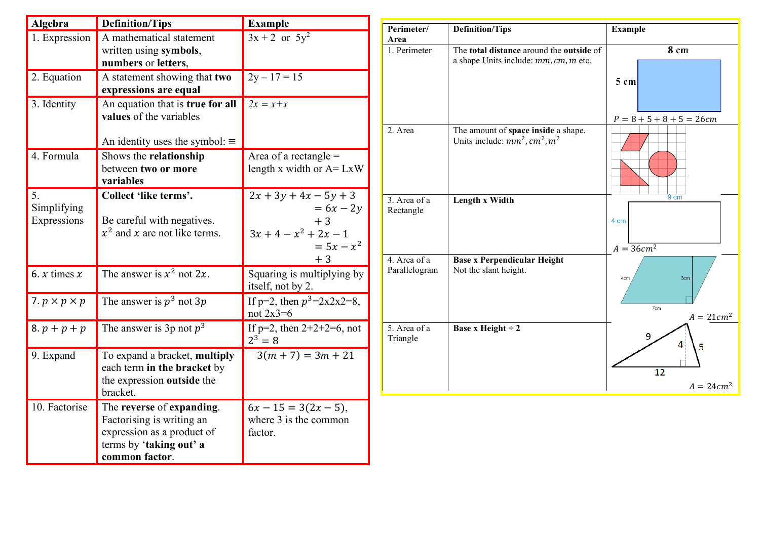| Algebra                  | <b>Definition/Tips</b>                    | <b>Example</b>                  | Perimeter/                    | <b>Definition/Tips</b>                                      | <b>Example</b>              |
|--------------------------|-------------------------------------------|---------------------------------|-------------------------------|-------------------------------------------------------------|-----------------------------|
| 1. Expression            | A mathematical statement                  | $3x + 2$ or $5y^2$              | Area                          |                                                             |                             |
|                          | written using symbols,                    |                                 | 1. Perimeter                  | The total distance around the outside of                    | 8 cm                        |
|                          | numbers or letters,                       |                                 |                               | a shape. Units include: $mm, cm, m$ etc.                    |                             |
| 2. Equation              | A statement showing that two              | $2y - 17 = 15$                  |                               |                                                             | $5 \text{ cm}$              |
|                          | expressions are equal                     |                                 |                               |                                                             |                             |
| 3. Identity              | An equation that is true for all          | $2x \equiv x + x$               |                               |                                                             |                             |
|                          | values of the variables                   |                                 |                               |                                                             | $P = 8 + 5 + 8 + 5 = 26$ cm |
|                          |                                           |                                 | 2. Area                       | The amount of space inside a shape.                         |                             |
|                          | An identity uses the symbol: $\equiv$     |                                 |                               | Units include: $mm^2$ , $cm^2$ , $m^2$                      |                             |
| 4. Formula               | Shows the relationship                    | Area of a rectangle $=$         |                               |                                                             |                             |
|                          | between two or more                       | length x width or $A = LxW$     |                               |                                                             |                             |
|                          | variables                                 |                                 |                               |                                                             |                             |
| 5.                       | Collect 'like terms'.                     | $2x + 3y + 4x - 5y + 3$         | 3. Area of a                  | Length x Width                                              | $9 \text{ cm}$              |
| Simplifying              |                                           | $= 6x - 2y$                     | Rectangle                     |                                                             |                             |
| Expressions              | Be careful with negatives.                | $+3$                            |                               |                                                             | 4 cm                        |
|                          | $x^2$ and x are not like terms.           | $3x + 4 - x^2 + 2x - 1$         |                               |                                                             |                             |
|                          |                                           | $= 5x - x^2$                    |                               |                                                             | $A = 36cm^2$                |
|                          |                                           | $+3$                            | 4. Area of a<br>Parallelogram | <b>Base x Perpendicular Height</b><br>Not the slant height. |                             |
| 6. $x$ times $x$         | The answer is $x^2$ not $2x$ .            | Squaring is multiplying by      |                               |                                                             | 3cm<br>4cn                  |
|                          |                                           | itself, not by 2.               |                               |                                                             |                             |
| 7. $p \times p \times p$ | The answer is $p^3$ not $3p$              | If p=2, then $p^3 = 2x2x2=8$ ,  |                               |                                                             | 7cm                         |
|                          |                                           | not $2x3=6$                     |                               |                                                             | $A = 21cm2$                 |
| $8. p + p + p$           | The answer is 3p not $p^3$                | If $p=2$ , then $2+2+2=6$ , not | 5. Area of a                  | <b>Base x Height ÷ 2</b>                                    |                             |
|                          |                                           | $2^3 = 8$                       | Triangle                      |                                                             |                             |
| 9. Expand                | To expand a bracket, multiply             | $3(m + 7) = 3m + 21$            |                               |                                                             |                             |
|                          | each term in the bracket by               |                                 |                               |                                                             | $\overline{12}$             |
|                          | the expression outside the                |                                 |                               |                                                             | $A = 24cm2$                 |
|                          | bracket.                                  |                                 |                               |                                                             |                             |
| 10. Factorise            | The reverse of expanding.                 | $6x - 15 = 3(2x - 5),$          |                               |                                                             |                             |
|                          | Factorising is writing an                 | where 3 is the common           |                               |                                                             |                             |
|                          | expression as a product of                | factor.                         |                               |                                                             |                             |
|                          | terms by 'taking out' a<br>common factor. |                                 |                               |                                                             |                             |
|                          |                                           |                                 |                               |                                                             |                             |